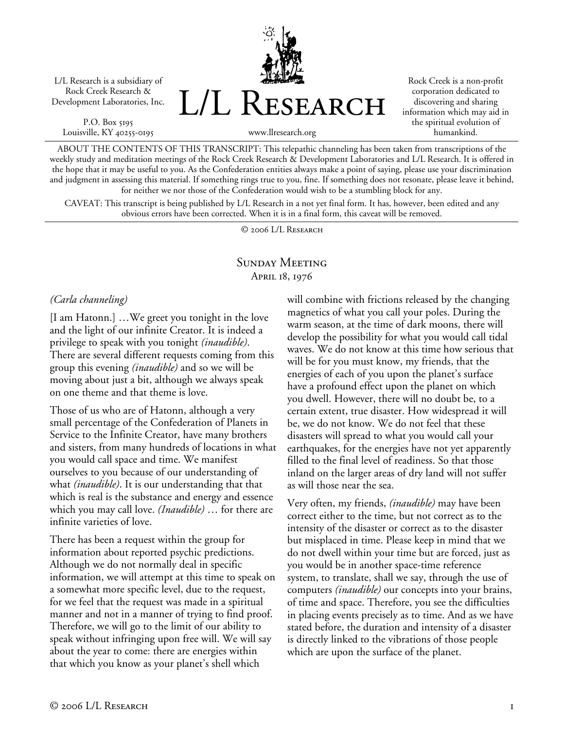L/L Research is a subsidiary of Rock Creek Research & Development Laboratories, Inc.

P.O. Box 5195 Louisville, KY 40255-0195 L/L Research

Rock Creek is a non-profit corporation dedicated to discovering and sharing information which may aid in the spiritual evolution of humankind.

www.llresearch.org

ABOUT THE CONTENTS OF THIS TRANSCRIPT: This telepathic channeling has been taken from transcriptions of the weekly study and meditation meetings of the Rock Creek Research & Development Laboratories and L/L Research. It is offered in the hope that it may be useful to you. As the Confederation entities always make a point of saying, please use your discrimination and judgment in assessing this material. If something rings true to you, fine. If something does not resonate, please leave it behind, for neither we nor those of the Confederation would wish to be a stumbling block for any.

CAVEAT: This transcript is being published by L/L Research in a not yet final form. It has, however, been edited and any obvious errors have been corrected. When it is in a final form, this caveat will be removed.

© 2006 L/L Research

# Sunday Meeting April 18, 1976

#### *(Carla channeling)*

[I am Hatonn.] …We greet you tonight in the love and the light of our infinite Creator. It is indeed a privilege to speak with you tonight *(inaudible)*. There are several different requests coming from this group this evening *(inaudible)* and so we will be moving about just a bit, although we always speak on one theme and that theme is love.

Those of us who are of Hatonn, although a very small percentage of the Confederation of Planets in Service to the Infinite Creator, have many brothers and sisters, from many hundreds of locations in what you would call space and time. We manifest ourselves to you because of our understanding of what *(inaudible)*. It is our understanding that that which is real is the substance and energy and essence which you may call love. *(Inaudible)* … for there are infinite varieties of love.

There has been a request within the group for information about reported psychic predictions. Although we do not normally deal in specific information, we will attempt at this time to speak on a somewhat more specific level, due to the request, for we feel that the request was made in a spiritual manner and not in a manner of trying to find proof. Therefore, we will go to the limit of our ability to speak without infringing upon free will. We will say about the year to come: there are energies within that which you know as your planet's shell which

will combine with frictions released by the changing magnetics of what you call your poles. During the warm season, at the time of dark moons, there will develop the possibility for what you would call tidal waves. We do not know at this time how serious that will be for you must know, my friends, that the energies of each of you upon the planet's surface have a profound effect upon the planet on which you dwell. However, there will no doubt be, to a certain extent, true disaster. How widespread it will be, we do not know. We do not feel that these disasters will spread to what you would call your earthquakes, for the energies have not yet apparently filled to the final level of readiness. So that those inland on the larger areas of dry land will not suffer as will those near the sea.

Very often, my friends, *(inaudible)* may have been correct either to the time, but not correct as to the intensity of the disaster or correct as to the disaster but misplaced in time. Please keep in mind that we do not dwell within your time but are forced, just as you would be in another space-time reference system, to translate, shall we say, through the use of computers *(inaudible)* our concepts into your brains, of time and space. Therefore, you see the difficulties in placing events precisely as to time. And as we have stated before, the duration and intensity of a disaster is directly linked to the vibrations of those people which are upon the surface of the planet.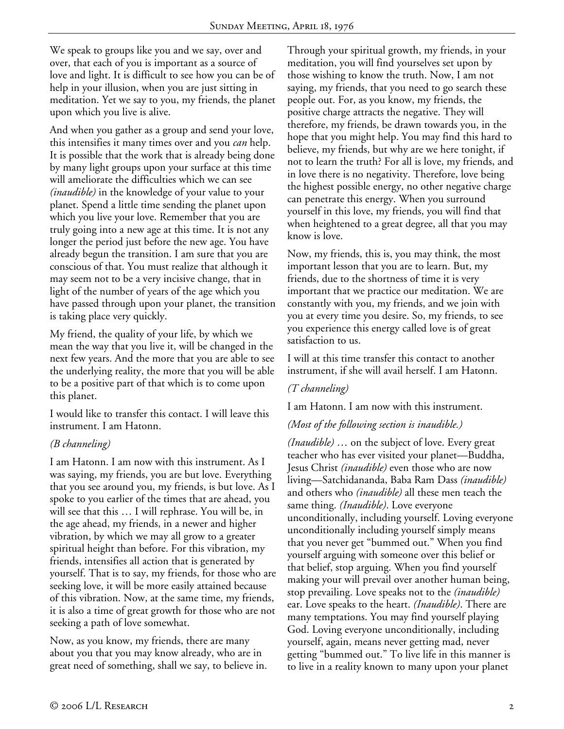We speak to groups like you and we say, over and over, that each of you is important as a source of love and light. It is difficult to see how you can be of help in your illusion, when you are just sitting in meditation. Yet we say to you, my friends, the planet upon which you live is alive.

And when you gather as a group and send your love, this intensifies it many times over and you *can* help. It is possible that the work that is already being done by many light groups upon your surface at this time will ameliorate the difficulties which we can see *(inaudible)* in the knowledge of your value to your planet. Spend a little time sending the planet upon which you live your love. Remember that you are truly going into a new age at this time. It is not any longer the period just before the new age. You have already begun the transition. I am sure that you are conscious of that. You must realize that although it may seem not to be a very incisive change, that in light of the number of years of the age which you have passed through upon your planet, the transition is taking place very quickly.

My friend, the quality of your life, by which we mean the way that you live it, will be changed in the next few years. And the more that you are able to see the underlying reality, the more that you will be able to be a positive part of that which is to come upon this planet.

I would like to transfer this contact. I will leave this instrument. I am Hatonn.

### *(B channeling)*

I am Hatonn. I am now with this instrument. As I was saying, my friends, you are but love. Everything that you see around you, my friends, is but love. As I spoke to you earlier of the times that are ahead, you will see that this … I will rephrase. You will be, in the age ahead, my friends, in a newer and higher vibration, by which we may all grow to a greater spiritual height than before. For this vibration, my friends, intensifies all action that is generated by yourself. That is to say, my friends, for those who are seeking love, it will be more easily attained because of this vibration. Now, at the same time, my friends, it is also a time of great growth for those who are not seeking a path of love somewhat.

Now, as you know, my friends, there are many about you that you may know already, who are in great need of something, shall we say, to believe in. Through your spiritual growth, my friends, in your meditation, you will find yourselves set upon by those wishing to know the truth. Now, I am not saying, my friends, that you need to go search these people out. For, as you know, my friends, the positive charge attracts the negative. They will therefore, my friends, be drawn towards you, in the hope that you might help. You may find this hard to believe, my friends, but why are we here tonight, if not to learn the truth? For all is love, my friends, and in love there is no negativity. Therefore, love being the highest possible energy, no other negative charge can penetrate this energy. When you surround yourself in this love, my friends, you will find that when heightened to a great degree, all that you may know is love.

Now, my friends, this is, you may think, the most important lesson that you are to learn. But, my friends, due to the shortness of time it is very important that we practice our meditation. We are constantly with you, my friends, and we join with you at every time you desire. So, my friends, to see you experience this energy called love is of great satisfaction to us.

I will at this time transfer this contact to another instrument, if she will avail herself. I am Hatonn.

### *(T channeling)*

I am Hatonn. I am now with this instrument.

### *(Most of the following section is inaudible.)*

*(Inaudible)* … on the subject of love. Every great teacher who has ever visited your planet—Buddha, Jesus Christ *(inaudible)* even those who are now living—Satchidananda, Baba Ram Dass *(inaudible)* and others who *(inaudible)* all these men teach the same thing. *(Inaudible)*. Love everyone unconditionally, including yourself. Loving everyone unconditionally including yourself simply means that you never get "bummed out." When you find yourself arguing with someone over this belief or that belief, stop arguing. When you find yourself making your will prevail over another human being, stop prevailing. Love speaks not to the *(inaudible)* ear. Love speaks to the heart. *(Inaudible)*. There are many temptations. You may find yourself playing God. Loving everyone unconditionally, including yourself, again, means never getting mad, never getting "bummed out." To live life in this manner is to live in a reality known to many upon your planet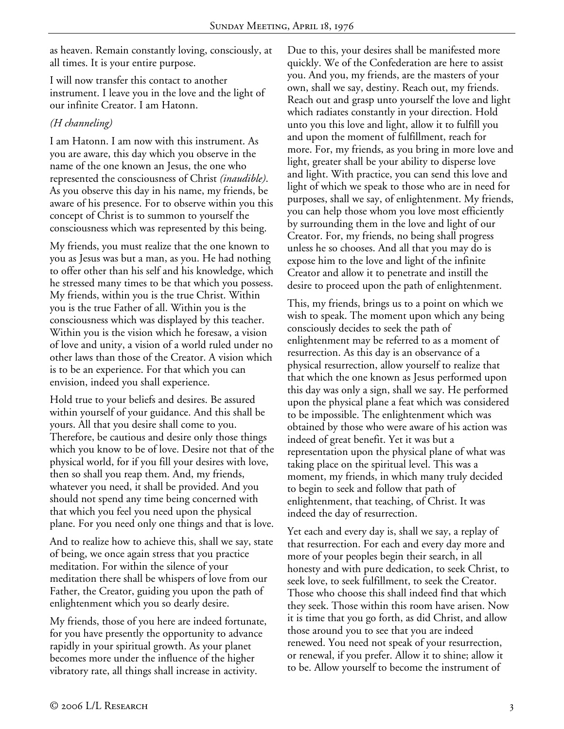as heaven. Remain constantly loving, consciously, at all times. It is your entire purpose.

I will now transfer this contact to another instrument. I leave you in the love and the light of our infinite Creator. I am Hatonn.

## *(H channeling)*

I am Hatonn. I am now with this instrument. As you are aware, this day which you observe in the name of the one known an Jesus, the one who represented the consciousness of Christ *(inaudible)*. As you observe this day in his name, my friends, be aware of his presence. For to observe within you this concept of Christ is to summon to yourself the consciousness which was represented by this being.

My friends, you must realize that the one known to you as Jesus was but a man, as you. He had nothing to offer other than his self and his knowledge, which he stressed many times to be that which you possess. My friends, within you is the true Christ. Within you is the true Father of all. Within you is the consciousness which was displayed by this teacher. Within you is the vision which he foresaw, a vision of love and unity, a vision of a world ruled under no other laws than those of the Creator. A vision which is to be an experience. For that which you can envision, indeed you shall experience.

Hold true to your beliefs and desires. Be assured within yourself of your guidance. And this shall be yours. All that you desire shall come to you. Therefore, be cautious and desire only those things which you know to be of love. Desire not that of the physical world, for if you fill your desires with love, then so shall you reap them. And, my friends, whatever you need, it shall be provided. And you should not spend any time being concerned with that which you feel you need upon the physical plane. For you need only one things and that is love.

And to realize how to achieve this, shall we say, state of being, we once again stress that you practice meditation. For within the silence of your meditation there shall be whispers of love from our Father, the Creator, guiding you upon the path of enlightenment which you so dearly desire.

My friends, those of you here are indeed fortunate, for you have presently the opportunity to advance rapidly in your spiritual growth. As your planet becomes more under the influence of the higher vibratory rate, all things shall increase in activity.

Due to this, your desires shall be manifested more quickly. We of the Confederation are here to assist you. And you, my friends, are the masters of your own, shall we say, destiny. Reach out, my friends. Reach out and grasp unto yourself the love and light which radiates constantly in your direction. Hold unto you this love and light, allow it to fulfill you and upon the moment of fulfillment, reach for more. For, my friends, as you bring in more love and light, greater shall be your ability to disperse love and light. With practice, you can send this love and light of which we speak to those who are in need for purposes, shall we say, of enlightenment. My friends, you can help those whom you love most efficiently by surrounding them in the love and light of our Creator. For, my friends, no being shall progress unless he so chooses. And all that you may do is expose him to the love and light of the infinite Creator and allow it to penetrate and instill the desire to proceed upon the path of enlightenment.

This, my friends, brings us to a point on which we wish to speak. The moment upon which any being consciously decides to seek the path of enlightenment may be referred to as a moment of resurrection. As this day is an observance of a physical resurrection, allow yourself to realize that that which the one known as Jesus performed upon this day was only a sign, shall we say. He performed upon the physical plane a feat which was considered to be impossible. The enlightenment which was obtained by those who were aware of his action was indeed of great benefit. Yet it was but a representation upon the physical plane of what was taking place on the spiritual level. This was a moment, my friends, in which many truly decided to begin to seek and follow that path of enlightenment, that teaching, of Christ. It was indeed the day of resurrection.

Yet each and every day is, shall we say, a replay of that resurrection. For each and every day more and more of your peoples begin their search, in all honesty and with pure dedication, to seek Christ, to seek love, to seek fulfillment, to seek the Creator. Those who choose this shall indeed find that which they seek. Those within this room have arisen. Now it is time that you go forth, as did Christ, and allow those around you to see that you are indeed renewed. You need not speak of your resurrection, or renewal, if you prefer. Allow it to shine; allow it to be. Allow yourself to become the instrument of